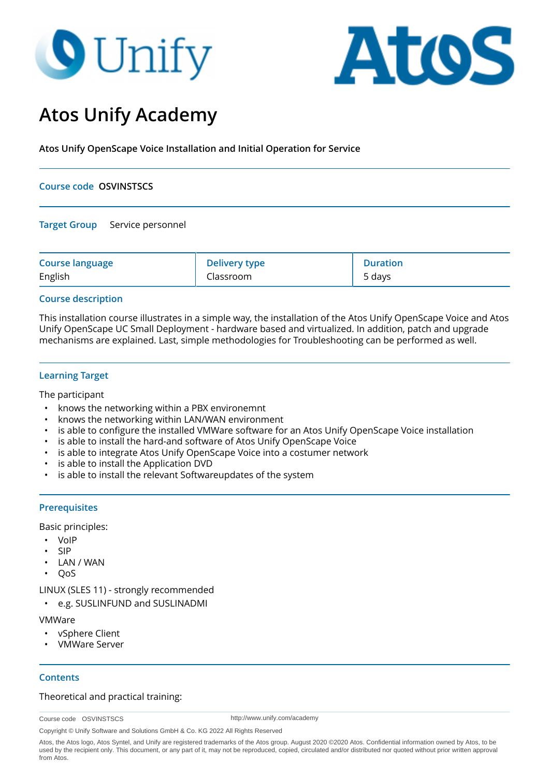# **O** Unify



# **Atos Unify Academy**

**Atos Unify OpenScape Voice Installation and Initial Operation for Service**

# **Course code OSVINSTSCS**

# **Target Group** Service personnel

| <b>Course language</b> | <b>Delivery type</b> | Duration |
|------------------------|----------------------|----------|
| English                | Classroom            | 5 days   |

# **Course description**

This installation course illustrates in a simple way, the installation of the Atos Unify OpenScape Voice and Atos Unify OpenScape UC Small Deployment - hardware based and virtualized. In addition, patch and upgrade mechanisms are explained. Last, simple methodologies for Troubleshooting can be performed as well.

# **Learning Target**

The participant

- knows the networking within a PBX environemnt
- knows the networking within LAN/WAN environment
- is able to configure the installed VMWare software for an Atos Unify OpenScape Voice installation
- is able to install the hard-and software of Atos Unify OpenScape Voice
- is able to integrate Atos Unify OpenScape Voice into a costumer network
- is able to install the Application DVD
- is able to install the relevant Softwareupdates of the system

# **Prerequisites**

Basic principles:

- VoIP
- SIP
- LAN / WAN
- QoS

LINUX (SLES 11) - strongly recommended

• e.g. SUSLINFUND and SUSLINADMI

#### VMWare

- vSphere Client
- VMWare Server

# **Contents**

# Theoretical and practical training:

Course code OSVINSTSCS

http://www.unify.com/academy

Copyright © Unify Software and Solutions GmbH & Co. KG 2022 All Rights Reserved

Atos, the Atos logo, Atos Syntel, and Unify are registered trademarks of the Atos group. August 2020 ©2020 Atos. Confidential information owned by Atos, to be used by the recipient only. This document, or any part of it, may not be reproduced, copied, circulated and/or distributed nor quoted without prior written approval from Atos.